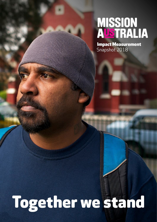# MISSION<br>AUSTRALIA

Impact Measurement Snapshot 2018

## Together we stand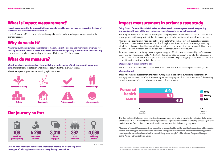### What is impact measurement?

### Our journey so far:

## Impact measurement in action: a case study

As at Feb 2018

<sup>2</sup> For clients with valid responses who entered and exited between May 2017 and Jan 2018 (n=13) <sup>1</sup> In the Personal Health Life Domain of the Personal Wellbeing Index by Cummins & Lau (2001). For more information on the PWI visit www.acqol.com.au

**Impact measurement is the process that helps us understand how our services are improving the lives of our clients and the communities we work in.**

It is the framework Mission Australia has developed to collect, collate and report on outcomes for the clients we assist.

## Why do we do it?

**Measuring our impact gives us the evidence to maximise client outcomes and improve our programs for existing and future clients. It allows us to record evidence of their journey in a structured, consistent way.**  It also helps us to allocate our funding in the most efficient and effective manner.

#### **Going Places - Street to Home in Cairns is a mobile outreach case management service supporting and working with some of the most vulnerable rough sleepers in far north Queensland.**

Those who received support from the mobile nursing team in addition to our existing support had an average personal health score<sup>1</sup> of 4.9 when they entered the program. This rose to a score of 6.5 when they exited the program, after receiving ongoing support from the nurses<sup>2</sup>.

The program works to assist people often experiencing long-term, chronic homelessness to transition into stable, permanent housing, without the client needing to attend a traditional bricks and mortar service.

Many people sleeping rough need help to build trust before they will interact with support services and often, many different services are required. The Going Places - Street to Home case managers working with this client group noticed that many failed to seek or receive the medical care they needed in a timely manner. This often increased comorbidities when assistance was eventually sought.

As a complement to our existing case management support, Mission Australia, funded by the Queensland Department of Housing and Public Works, trialled sending mobile nurses out to care for homeless people on the streets. The purpose was to improve the health of those sleeping rough by taking down barriers that prevent them from getting the help they need.

#### **We used impact measurement to ask:**

Was there an improvement in the clients' view of their own health after receiving mobile nursing care?

#### **What we learned**

The data collected helped us determine that the program was beneficial to the clients' wellbeing. It allowed us to demonstrate that providing mobile nursing care made a significant difference to the people sleeping rough in the Cairns area. Beyond that, it improved our ability to address their holistic ongoing needs.

"Because of Impact Measurement, we were able to see and evidence the positive impact the mobile nursing service was having on our client health outcomes. This gives us evidence to advocate for offering mobile nursing assistance elsewhere, which in turn will help more people!" – Mark Jentz, Program Manager, Going Places - Street to Home Cairns

**Once we know what we've achieved and what we can improve, we are one step closer to our goal of reducing homelessness and strengthening communities.**

## What do we measure?

**We ask our clients questions about their wellbeing at the beginning of their journey with us and over time.** This enables us to establish what changes occurred in their overall wellbeing.

We ask each person questions surrounding eight core areas:



Personal health score











**Community** 



Achievements

Future security